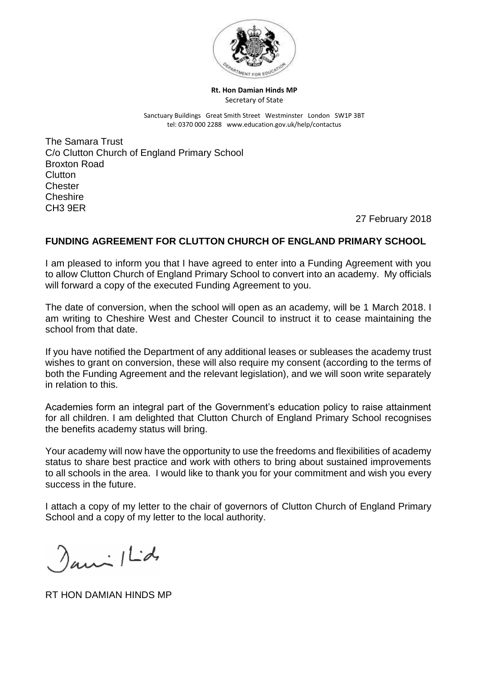

**Rt. Hon Damian Hinds MP** Secretary of State

Sanctuary Buildings Great Smith Street Westminster London SW1P 3BT tel: 0370 000 2288 www.education.gov.uk/help/contactus

The Samara Trust C/o Clutton Church of England Primary School Broxton Road Clutton **Chester Cheshire** CH3 9ER

27 February 2018

## **FUNDING AGREEMENT FOR CLUTTON CHURCH OF ENGLAND PRIMARY SCHOOL**

I am pleased to inform you that I have agreed to enter into a Funding Agreement with you to allow Clutton Church of England Primary School to convert into an academy. My officials will forward a copy of the executed Funding Agreement to you.

The date of conversion, when the school will open as an academy, will be 1 March 2018. I am writing to Cheshire West and Chester Council to instruct it to cease maintaining the school from that date.

If you have notified the Department of any additional leases or subleases the academy trust wishes to grant on conversion, these will also require my consent (according to the terms of both the Funding Agreement and the relevant legislation), and we will soon write separately in relation to this.

Academies form an integral part of the Government's education policy to raise attainment for all children. I am delighted that Clutton Church of England Primary School recognises the benefits academy status will bring.

Your academy will now have the opportunity to use the freedoms and flexibilities of academy status to share best practice and work with others to bring about sustained improvements to all schools in the area. I would like to thank you for your commitment and wish you every success in the future.

I attach a copy of my letter to the chair of governors of Clutton Church of England Primary School and a copy of my letter to the local authority.

 $\lambda$ ani  $|L$ d

RT HON DAMIAN HINDS MP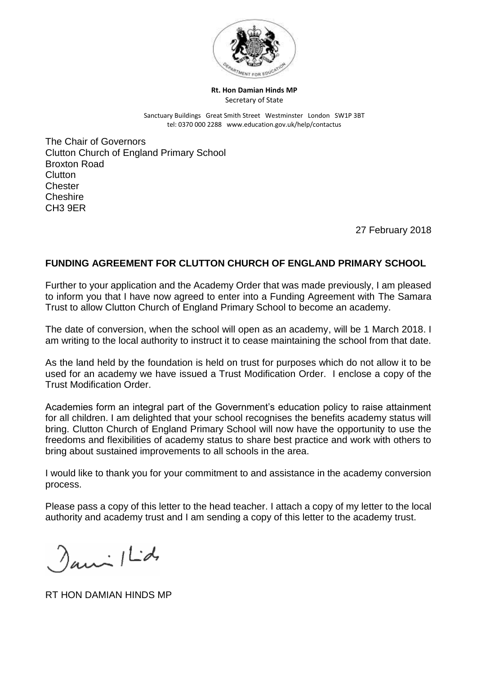

**Rt. Hon Damian Hinds MP** Secretary of State

Sanctuary Buildings Great Smith Street Westminster London SW1P 3BT tel: 0370 000 2288 www.education.gov.uk/help/contactus

The Chair of Governors Clutton Church of England Primary School Broxton Road Clutton **Chester Cheshire** CH3 9ER

27 February 2018

## **FUNDING AGREEMENT FOR CLUTTON CHURCH OF ENGLAND PRIMARY SCHOOL**

Further to your application and the Academy Order that was made previously, I am pleased to inform you that I have now agreed to enter into a Funding Agreement with The Samara Trust to allow Clutton Church of England Primary School to become an academy.

The date of conversion, when the school will open as an academy, will be 1 March 2018. I am writing to the local authority to instruct it to cease maintaining the school from that date.

As the land held by the foundation is held on trust for purposes which do not allow it to be used for an academy we have issued a Trust Modification Order. I enclose a copy of the Trust Modification Order.

Academies form an integral part of the Government's education policy to raise attainment for all children. I am delighted that your school recognises the benefits academy status will bring. Clutton Church of England Primary School will now have the opportunity to use the freedoms and flexibilities of academy status to share best practice and work with others to bring about sustained improvements to all schools in the area.

I would like to thank you for your commitment to and assistance in the academy conversion process.

Please pass a copy of this letter to the head teacher. I attach a copy of my letter to the local authority and academy trust and I am sending a copy of this letter to the academy trust.

 $\gamma_{\mu\mu\lambda}$  / Ld

RT HON DAMIAN HINDS MP